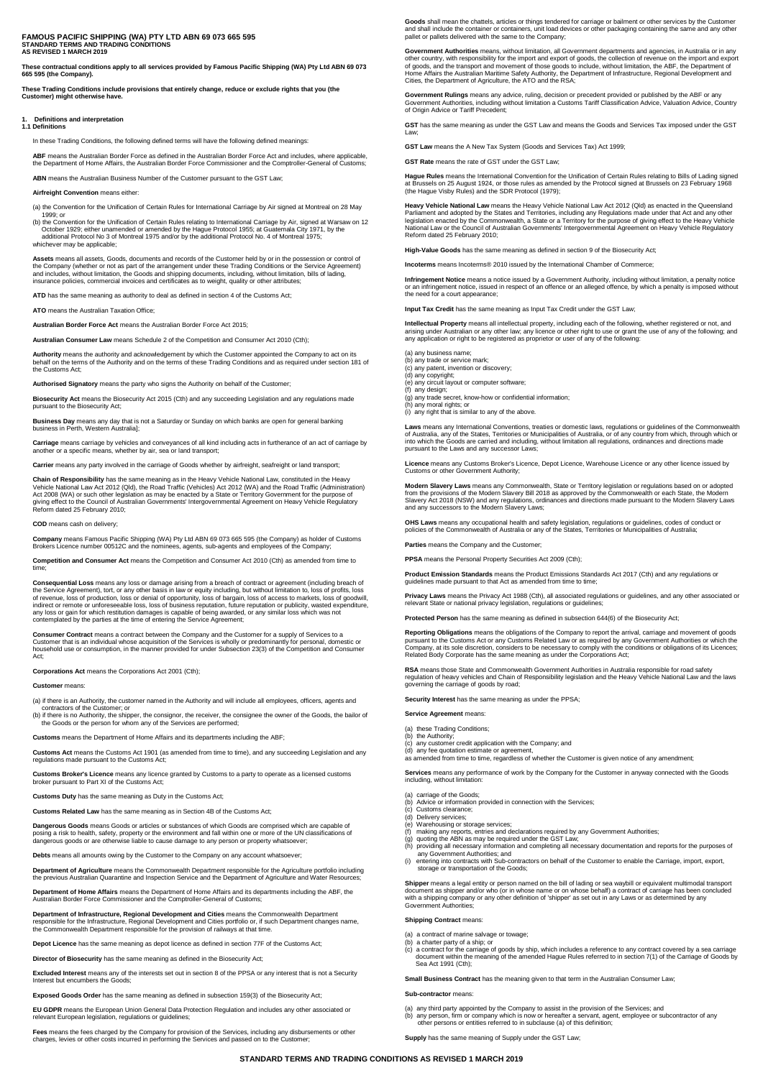#### **FAMOUS PACIFIC SHIPPING (WA) PTY LTD ABN 69 073 665 595 STANDARD TERMS AND TRADING CONDITIONS AS REVISED 1 MARCH 2019**

**These contractual conditions apply to all services provided by Famous Pacific Shipping (WA) Pty Ltd ABN 69 073 665 595 (the Company).** 

**These Trading Conditions include provisions that entirely change, reduce or exclude rights that you (the Customer) might otherwise have.**

## **1. Definitions and interpretation 1.1 Definitions**

In these Trading Conditions, the following defined terms will have the following defined meanings:

**ABF** means the Australian Border Force as defined in the Australian Border Force Act and includes, where applicable, the Department of Home Affairs, the Australian Border Force Commissioner and the Comptroller-General of Customs;

**ABN** means the Australian Business Number of the Customer pursuant to the GST Law;

**Airfreight Convention** means either:

(a) the Convention for the Unification of Certain Rules for International Carriage by Air signed at Montreal on 28 May

1999; or<br>(b) the Convention for the Unification of Certain Rules relating to International Carriage by Air, signed at Warsaw on 12<br>October 1929; either unamended or amended by the Hague Protocol 1955; at Guatemala City 197 additional Protocol No 3

Assets means all assets, Goods, documents and records of the Customer held by or in the possession or control of<br>the Company (whether or not as part of the arrangement under these Trading Conditions or the Service Agreemen

**ATD** has the same meaning as authority to deal as defined in section 4 of the Customs Act;

**ATO** means the Australian Taxation Office;

**Australian Border Force Act** means the Australian Border Force Act 2015;

**Australian Consumer Law** means Schedule 2 of the Competition and Consumer Act 2010 (Cth);

**Authority** means the authority and acknowledgement by which the Customer appointed the Company to act on its<br>behalf on the terms of the Authority and on the terms of these Trading Conditions and as required under section

**Authorised Signatory** means the party who signs the Authority on behalf of the Customer;

**Biosecurity Act** means the Biosecurity Act 2015 (Cth) and any succeeding Legislation and any regulations made pursuant to the Biosecurity Act;

**Business Day** means any day that is not a Saturday or Sunday on which banks are open for general banking business in Perth, Western Australia];

**Carriage** means carriage by vehicles and conveyances of all kind including acts in furtherance of an act of carriage by another or a specific means, whether by air, sea or land transport;

**Carrier** means any party involved in the carriage of Goods whether by airfreight, seafreight or land transport;

Chain of Responsibility has the same meaning as in the Heavy Vehicle National Law, constituted in the Heavy<br>Vehicle National Law Act 2012 (Qld), the Road Traffic (Vehicles) Act 2012 (WA) and the Road Traffic (Administratio Reform dated 25 February 2010;

#### **COD** means cash on delivery;

**Company** means Famous Pacific Shipping (WA) Pty Ltd ABN 69 073 665 595 (the Company) as holder of Customs Brokers Licence number 00512C and the nominees, agents, sub-agents and employees of the Company;

**Competition and Consumer Act** means the Competition and Consumer Act 2010 (Cth) as amended from time to time;

Consequential Loss means any loss or damage arising from a breach of contract or agreement (including breach of<br>the Service Agreement), tort, or any other basis in law or equity including, but without limitation to, loss o of revenue, loss of production, loss or denial of opportunity, loss of bargain, loss of access to markets, loss of goodwill, indirect or remote or unforeseeable loss, loss of business reputation, future reputation or publicity, wasted expenditure, any loss or gain for which restitution damages is capable of being awarded, or any similar loss which was not contemplated by the parties at the time of entering the Service Agreement;

**Consumer Contract** means a contract between the Company and the Customer for a supply of Services to a Customer that is an individual whose acquisition of the Services is wholly or predominantly for personal, domestic or<br>household use or consumption, in the manner provided for under Subsection 23(3) of the Competition and C

**Corporations Act** means the Corporations Act 2001 (Cth);

**Customer** means:

(a) if there is an Authority, the customer named in the Authority and will include all employees, officers, agents and contractors of the Customer; or

(b) if there is no Authority, the shipper, the consignor, the receiver, the consignee the owner of the Goods, the bailor of the Goods or the person for whom any of the Services are performed;

**Customs** means the Department of Home Affairs and its departments including the ABF;

**Customs Act** means the Customs Act 1901 (as amended from time to time), and any succeeding Legislation and any regulations made pursuant to the Customs Act;

**Customs Broker's Licence** means any licence granted by Customs to a party to operate as a licensed customs broker pursuant to Part XI of the Customs Act;

**Customs Duty** has the same meaning as Duty in the Customs Act;

**Customs Related Law** has the same meaning as in Section 4B of the Customs Act;

**Dangerous Goods** means Goods or articles or substances of which Goods are comprised which are capable of posing a risk to health, safety, property or the environment and fall within one or more of the UN classifications of dangerous goods or are otherwise liable to cause damage to any person or property whatsoever;

Debts means all amounts owing by the Customer to the Company on any account whats

**Department of Agriculture** means the Commonwealth Department responsible for the Agriculture portfolio including<br>the previous Australian Quarantine and Inspection Service and the Department of Agriculture and Water Resour

**Department of Home Affairs** means the Department of Home Affairs and its departments including the ABF, the Australian Border Force Commissioner and the Comptroller-General of Customs;

**Department of Infrastructure, Regional Development and Cities** means the Commonwealth Department responsible for the Infrastructure, Regional Development and Cities portfolio or, if such Department changes name, the Commonwealth Department responsible for the provision of railways at that time.

**Depot Licence** has the same meaning as depot licence as defined in section 77F of the Customs Act;

**Director of Biosecurity** has the same meaning as defined in the Biosecurity Act;

**Excluded Interest** means any of the interests set out in section 8 of the PPSA or any interest that is not a Security Interest but encumbers the Goods;

**Exposed Goods Order** has the same meaning as defined in subsection 159(3) of the Biosecurity Act;

**EU GDPR** means the European Union General Data Protection Regulation and includes any other associated or relevant European legislation, regulations or guidelines;

**Fees** means the fees charged by the Company for provision of the Services, including any disbursements or other<br>charges, levies or other costs incurred in performing the Services and passed on to the Customer;

Goods shall mean the chattels, articles or things tendered for carriage or bailment or other services by the Customer<br>and shall include the container or containers, unit load devices or other packaging containing the same

**Government Authorities** means, without limitation, all Government departments and agencies, in Australia or in any other country, with responsibility for the import and export of goods, the collection of revenue on the import and export<br>of goods, and the transport and movement of those goods to include, without limitation, the ABF, the Home Affairs the Australian Maritime Safety Authority, the Department of Infrastructure, Regional Development and Cities, the Department of Agriculture, the ATO and the RSA;

**Government Rulings** means any advice, ruling, decision or precedent provided or published by the ABF or any<br>Government Authorities, including without limitation a Customs Tariff Classification Advice, Valuation Advice, Co

**GST** has the same meaning as under the GST Law and means the Goods and Services Tax imposed under the GST Law;

**GST Law** means the A New Tax System (Goods and Services Tax) Act 1999;

**GST Rate** means the rate of GST under the GST Law;

**Hague Rules** means the International Convention for the Unification of Certain Rules relating to Bills of Lading signed<br>at Brussels on 25 August 1924, or those rules as amended by the Protocol signed at Brussels on 23 Feb

**Heavy Vehicle National Law** means the Heavy Vehicle National Law Act 2012 (Qld) as enacted in the Queensland<br>Parliament and adopted by the States and Territories, including any Regulations made under that Act and any othe Parliament and adopted by the States and Territories, including any Regulations made under that Act and any other<br>legislation enacted by the Commonwealth, a State or a Territory for the purpose of giving effect to the Heav National Law or the Council of Australian Governments' Intergovernmental Agreement on Heavy Vehicle Regulatory Reform dated 25 February 2010;

**High-Value Goods** has the same meaning as defined in section 9 of the Biosecurity Act;

**Incoterms** means Incoterms® 2010 issued by the International Chamber of Commerce;

Infringement Notice means a notice issued by a Government Authority, including without limitation, a penalty notice<br>or an infringement notice, issued in respect of an offence or an alleged offence, by which a penalty is im the need for a court appearance;

**Input Fact Table Tay Tamabia Tax Credit under the GST Law**<br>**In** the same meaning as Input Tax Credit under the GST Law

**Intellectual Property** means all intellectual property, including each of the following, whether registered or not, and<br>arising under Australian or any other law; any licence or other right to use or grant the use of any

(a) any business name;

- (b) any trade or service mark;
- (c) any patent, invention or discovery; (d) any copyright;

(e) any circuit layout or computer software;

(f) any design; (g) any trade secret, know-how or confidential information;

(g) any moral rights; or

(i) any right that is similar to any of the above.

Laws means any International Conventions, treaties or domestic laws, regulations or guidelines of the Commonwealth<br>of Australia, any of the States, Territories or Municipalities of Australia, or of any country from which,

**Licence** means any Customs Broker's Licence, Depot Licence, Warehouse Licence or any other licence issued by Customs or other Government Authority;

Modern Slavery Laws means any Commonwealth, State or Territory legislation or regulations based on or adopted<br>from the provisions of the Modern Slavery Bill 2018 as approved by the Commonwealth or each State, the Modern Slavery Act 2018 (NSW) and any regulations, ordinances and directions made pursuant to the Modern Slavery Laws and any successors to the Modern Slavery Laws;

OHS Laws means any occupational health and safety legislation, regulations or guidelines, codes of conduct or<br>policies of the Commonwealth of Australia or any of the States, Territories or Municipalities of Australia;

**Parties** means the Company and the Customer;

**PPSA** means the Personal Property Securities Act 2009 (Cth):

**Product Emission Standards** means the Product Emissions Standards Act 2017 (Cth) and any regulations or guidelines made pursuant to that Act as amended from time to time;

Privacy Laws means the Privacy Act 1988 (Cth), all associated regulations or guidelines, and any other associated or<br>relevant State or national privacy legislation, regulations or guidelines;

**Protected Person** has the same meaning as defined in subsection 644(6) of the Biosecurity

Reporting Obligations means the obligations of the Company to report the arrival, carriage and movement of goods<br>pursuant to the Customs Act or any Customs Related Law or as required by any Government Authorities or which Related Body Corporate has the same meaning as under the Corporations Act;

**RSA** means those State and Commonwealth Government Authorities in Australia responsible for road safety regulation of heavy vehicles and Chain of Responsibility legislation and the Heavy Vehicle National Law and the laws governing the carriage of goods by road;

**Security Interest** has the same meaning as under the PPSA;

**Service Agreement** means:

- 
- (a) these Trading Conditions;<br>(b) the Authority;<br>(c) any customer credit application with the Company; and<br>(d) any fee quotation estimate or agreement,<br>as amended from time to time, regardless of whether the Customer is gi

**Services** means any performance of work by the Company for the Customer in anyway connected with the Goods including, without limitation:

- (a) carriage of the Goods; (b) Advice or information provided in connection with the Services; (c) Customs clearance;
- 
- (d) Delivery services; (e) Warehousing or storage services;
- (f) making any reports, entries and declarations required by any Government Authorities;
- (g) quoting the ABN as may be required under the GST Law; (h) providing all necessary information and completing all necessary documentation and reports for the purposes of
- any Government Authorities; and (i) entering into contracts with Sub-contractors on behalf of the Customer to enable the Carriage, import, export, storage or transportation of the Goods;

**Shipper** means a legal entity or person named on the bill of lading or sea waybill or equivalent multimodal transport<br>document as shipper and/or who (or in whose name or on whose behalf) a contract of carriage has been co

#### **Shipping Contract** n

(a) a contract of marine salvage or towage;

**Supply** has the same meaning of Supply under the GST Law;

- 
- (b) a charter party of a ship; or<br>(c) a contract for the carriage of goods by ship, which includes a reference to any contract covered by a sea carriage<br>document within the meaning of the amended Hague Rules referred to in Sea Act 1991 (Cth);

**Small Business Contract** has the meaning given to that term in the Australian Consumer Law

(a) any third party appointed by the Company to assist in the provision of the Services; and<br>(b) any person, firm or company which is now or hereafter a servant, agent, employee or subcontractor of any<br>other persons or ent

#### **Sub-contractor** means:

**STANDARD TERMS AND TRADING CONDITIONS AS REVISED 1 MARCH 2019**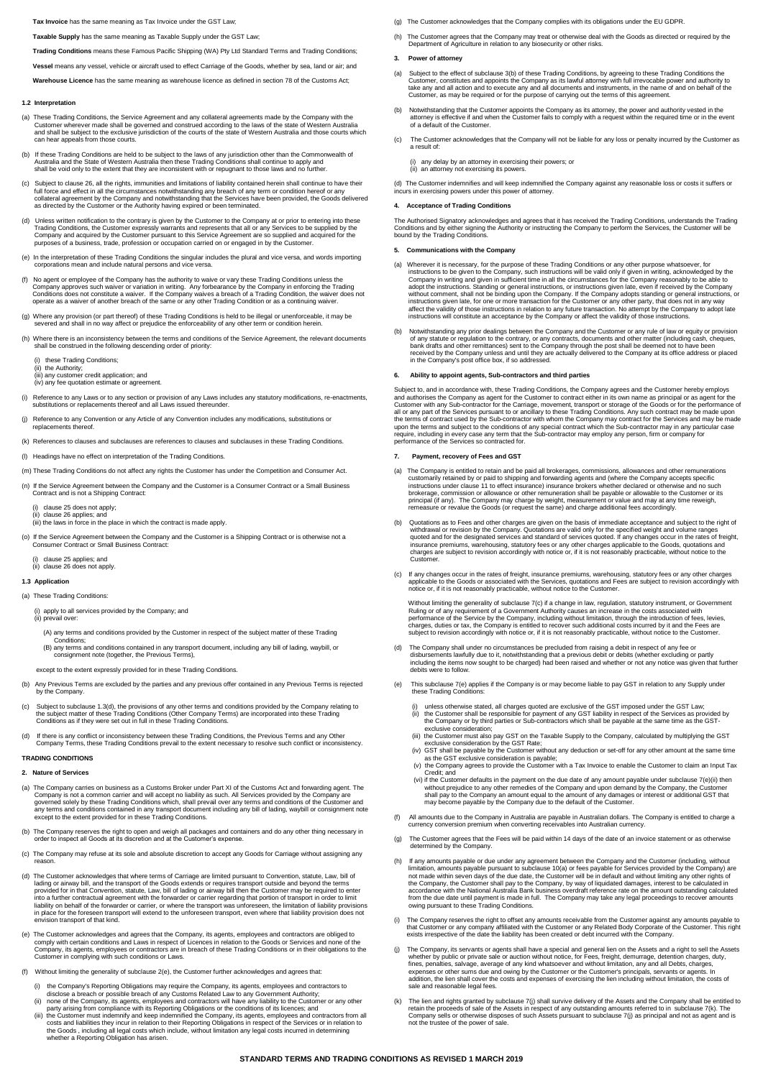#### **Tax Invoice** has the same meaning as Tax Invoice under the GST Law;

**Taxable Supply** has the same meaning as Taxable Supply under the GST Law;

**Trading Conditions** means these Famous Pacific Shipping (WA) Pty Ltd Standard Terms and Trading Conditions;

**Vessel** means any vessel, vehicle or aircraft used to effect Carriage of the Goods, whether by sea, land or air; and

**Warehouse Licence** has the same meaning as warehouse licence as defined in section 78 of the Customs Act;

### **1.2 Interpretation**

- a) These Trading Conditions, the Service Agreement and any collateral agreements made by the Company with the<br>Customer wherever made shall be governed and construed according to the laws of the state of Western Australia<br>a ear be subject to the exclusive<br>ar appeals from those courts
- (b) If these Trading Conditions are held to be subject to the laws of any jurisdiction other than the Commonwealth of<br>Australia and the State of Western Australia then these Trading Conditions shall continue to apply and<br>s
- (c) Subject to clause 26, all the rights, immunities and limitations of liability contained herein shall continue to have their full force and effect in all the circumstances notwithstanding any breach of any term or condition hereof or any<br>collateral agreement by the Company and notwithstanding that the Services have been provided, the Goods deliv
- (d) Unless written notification to the contrary is given by the Customer to the Company at or prior to entering into these Trading Conditions, the Customer expressly warrants and represents that all or any Services to be supplied by the<br>Company and acquired by the Customer pursuant to this Service Agreement are so supplied and acquired for the
- (e) In the interpretation of these Trading Conditions the singular includes the plural and vice versa, and words importing corporations mean and include natural persons and vice versa.
- (f) No agent or employee of the Company has the authority to waive or vary these Trading Conditions unless the<br>Company approves such waiver or variation in writing. Any forbearance by the Company in enforcing the Trading<br>C
- (g) Where any provision (or part thereof) of these Trading Conditions is held to be illegal or unenforceable, it may be severed and shall in no way affect or prejudice the enforceability of any other term or condition here
- (h) Where there is an inconsistency between the terms and conditions of the Service Agreement, the relevant documents shall be construed in the following descending order of priority:
	- (i) these Trading Conditions;
- (ii) the Authority; (iii) any customer credit application; and
- (iv) any fee quotation estimate or agreement.
- (i) Reference to any Laws or to any section or provision of any Laws includes any statutory modifications, re-enactments, substitutions or replacements thereof and all Laws issued thereunder.
- (j) Reference to any Convention or any Article of any Convention includes any modifications, substitutions or replacements thereof.
- (k) References to clauses and subclauses are references to clauses and subclauses in these Trading Conditions.
- (l) Headings have no effect on interpretation of the Trading Conditions.
- (m) These Trading Conditions do not affect any rights the Customer has under the Competition and Consumer Act.
- (n) If the Service Agreement between the Company and the Customer is a Consumer Contract or a Small Business Contract and is not a Shipping Contract:

clause 25 does not apply; (ii) clause 26 applies; and

- (iii) the laws in force in the place in which the contract is made apply.
- (o) If the Service Agreement between the Company and the Customer is a Shipping Contract or is otherwise not a Consumer Contract or Small Business Contract:

 (i) clause 25 applies; and (i) clause 26 depender, and<br>(ii) clause 26 does not apply

# **1.3 Application**

# (a) These Trading Conditions:

# (i) apply to all services provided by the Company; and (ii) prevail over:

- (A) any terms and conditions provided by the Customer in respect of the subject matter of these Trading Conditions;
	- (B) any terms and conditions contained in any transport document, including any bill of lading, waybill, or consignment note (together, the Previous Terms)
	- except to the extent expressly provided for in these Trading Conditions.
- (b) Any Previous Terms are excluded by the parties and any previous offer contained in any Previous Terms is rejected by the Company.
- (c) Subject to subclause 1.3(d), the provisions of any other terms and conditions provided by the Company relating to the subject matter of these Trading Conditions (Other Company Terms) are incorporated into these Trading Conditions as if they were set out in full in these Trading Conditions.
- (d) If there is any conflict or inconsistency between these Trading Conditions, the Previous Terms and any Other<br>Company Terms, these Trading Conditions prevail to the extent necessary to resolve such conflict or inconsist

### **TRADING CONDITIONS**

### **2. Nature of Services**

- (a) The Company carries on business as a Customs Broker under Part XI of the Customs Act and forwarding agent. The Company is not a common carrier and will accept no liability as such. All Services provided by the Company are<br>governed solely by these Trading Conditions which, shall prevail over any terms and conditions of the Customer any terms and conditions contained in any transport document including any bill of lading, waybill or consignment note except to the extent provided for in these Trading Conditions.
- (b) The Company reserves the right to open and weigh all packages and containers and do any other thing necessary in order to inspect all Goods at its discretion and at the Customer's expense.
- (c) The Company may refuse at its sole and absolute discretion to accept any Goods for Carriage without assigning any reason.
- (d) The Customer acknowledges that where terms of Carriage are limited pursuant to Convention, statute, Law, bill displayed in an lading or ainway bill, and the transport of the Goods extends or requires transport outside
- (e) The Customer acknowledges and agrees that the Company, its agents, employees and contractors are obliged to<br>comply with certain conditions and Laws in respect of Licences in relation to the Goods or Services and none o
- (f) Without limiting the generality of subclause 2(e), the Customer further acknowledges and agrees that:
	- (i) the Company's Reporting Obligations may require the Company, its agents, employees and contractors to
	-
- disclose a breach or possible breach of any Customs Related Law to any Government Authority;<br>in one of the Company, its agents, employees and contractors will have any liability to the Customer or any other<br>party arising f
- (g) The Customer acknowledges that the Company complies with its obligations under the EU GDPR.
- (h) The Customer agrees that the Company may treat or otherwise deal with the Goods as directed or required by the Department of Agriculture in relation to any biosecurity or other risks.

### **3. Power of attorney**

- (a) Subject to the effect of subclause 3(b) of these Trading Conditions, by agreeing to these Trading Conditions the<br>Customer, constitutes and appoints the Company as its lawful attorney with full irrevocable power and aut Customer, as may be required or for the purpose of carrying out the terms of this agreement.
- (b) Notwithstanding that the Customer appoints the Company as its attorney, the power and authority vested in the<br>attorney is effective if and when the Customer fails to comply with a request within the required time or in
- The Customer acknowledges that the Company will not be liable for any loss or penalty incurred by the Customer as a result of:

(i) any delay by an attorney in exercising their powers; or (ii) an attorney not exercising its powers.

(d) The Customer indemnifies and will keep indemnified the Company against any reasonable loss or costs it suffers or incurs in exercising powers under this power of attorney.

### **4. Acceptance of Trading Conditions**

The Authorised Signatory acknowledges and agrees that it has received the Trading Conditions, understands the Trading Conditions and by either signing the Authority or instructing the Company to perform the Services, the Customer will be bound by the Trading Condition

### **5. Communications with the Company**

- (a) Wherever it is necessary, for the purpose of these Trading Conditions or any other purpose whatscever, for<br>instructions to be given to the Company, such instructions will be valid only if given in writing, acknowledged
- (b) Notwithstanding any prior dealings between the Company and the Customer or any rule of law or equity or provision<br>of any statute or regulation to the contrary, or any contracts, documents and other matter (including ca

#### **6. Ability to appoint agents, Sub-contractors and third parties**

Subject to, and in accordance with, these Trading Conditions, the Company agrees and the Customer hereby employs<br>and authorises the Company as agent for the Customer to contract either in its own name as principal or as ag

### **7. Payment, recovery of Fees and GST**

- (a) The Company is entitled to retain and be paid all brokerages, commissions, allowances and other remunerations customarily retained by or paid to shipping and forwarding agents and (where the Company accepts specific<br>instructions under clause 11 to effect insurance) insurance brokers whether declared or otherwise and no such<br>broker principal (if any). The Company may charge by weight, measurement or value and may at any time reweigh, remeasure or revalue the Goods (or request the same) and charge additional fees accordingly.
- (b) Quotations as to Fees and other charges are given on the basis of immediate acceptance and subject to the right of whtdrawal or revision by the Company. Quotations are valid only for the gecified weight and volume rang
- (c) If any changes occur in the rates of freight, insurance premiums, warehousing, statutory fees or any other charges<br>applicable to the Goods or associated with the Services, quotations and Fees are subject to revision ac

Without limiting the generality of subclause 7(c) if a change in law, regulation, statutory instrument, or Government<br>Ruling or of any requirement of a Government Authority causes an increase in the costs associated with<br>p subject to revision accordingly with notice or, if it is not reasonably practicable, without notice to the Customer.

- (d) The Company shall under no circumstances be precluded from raising a debit in respect of any fee or disbursements lawfully due to it, notwithstanding that a previous debit or debits (whether excluding or partly<br>including the items now sought to be charged) had been raised and whether or not any notice was given that furt g ..... ...........<br>rere to follow
- (e) This subclause 7(e) applies if the Company is or may become liable to pay GST in relation to any Supply under these Trading Conditions:
- (i) unless otherwise stated, all changes quoted are exclusive of the GST imposed under the GST Lamer<br>
(iii) the Customer shall be responsible for payment of any GST liability in respect of the Services as provided by<br>
the
	-
	-
	-
- without prejudice to any other remedies of the Company and upon demand by the Company, the Customer<br>shall pay to the Company an amount equal to the amount of any damages or interest or additional GST that<br>may become payabl
- (f) All amounts due to the Company in Australia are payable in Australian dollars. The Company is entitled to charge a currency conversion premium when converting receivables into Australian currency.
- (g) The Customer agrees that the Fees will be paid within 14 days of the date of an invoice statement or as otherwise determined by the Company.
- (h) If any amounts payable or due under any agreement between the Company and the Customer (including, without<br>limitation, amounts payable pursuant to subclause 10(a) or fees payable for Services provided by the Company) a
- (i) The Company reserves the right to offset any amounts receivable from the Customer against any a that Customer or any company affiliated with the Customer or any Related Body Corporate of the Customer. This right exists irrespective of the date the liability has been created or debt incurred with the Company.
- (j) The Company, its servants or agents shall have a special and general lien on the Assets and a right to sell the Assets<br>whether by public or private sale or auction without notice, for Fees, freight, demurrage, detentio expenses or other sums due and owing by the Customer or the Customer's principals, servants or agents. In<br>addition, the lien shall cover the costs and expenses of exercising the lien including without limitation, the costs sale and reasonable legal fees.
- (k) The lien and rights granted by subclause 7(j) shall survive delivery of the Assets and the Company shall be entitled to retain the proceeds of sale of the Assets in respect of any outstanding amounts referred to in subclause 7(k). The<br>Company sells or otherwise disposes of such Assets pursuant to subclause 7(j) as principal and not as agent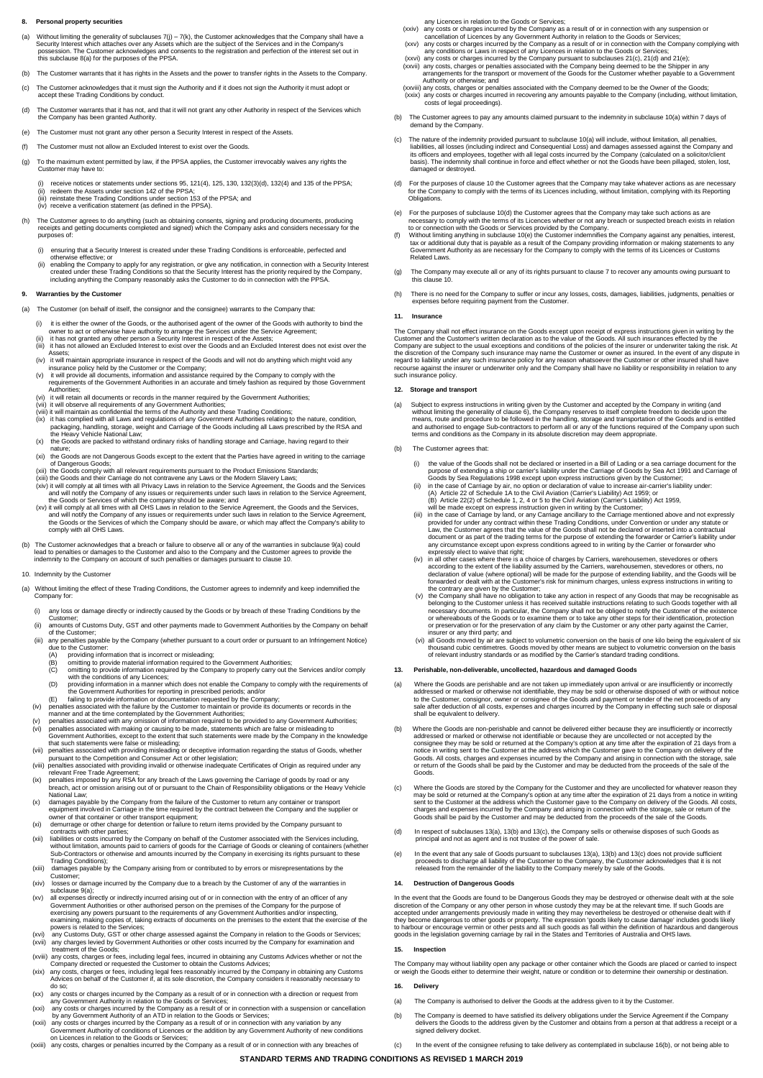#### **Personal property securities**

- (a) Without limiting the generality of subclauses 7(j) 7(k), the Customer acknowledges that the Company shall have a<br>Security Interest which attaches over any Assets which are the subject of the Services and in the Compa this subclause 8(a) for the purposes of the PPSA.
- (b) The Customer warrants that it has rights in the Assets and the power to transfer rights in the Assets to the Company.
- (c) The Customer acknowledges that it must sign the Authority and if it does not sign the Authority it must adopt or accept these Trading Conditions by conduct.
- (d) The Customer warrants that it has not, and that it will not grant any other Authority in respect of the Services which the Company has been granted Authority.
- (e) The Customer must not grant any other person a Security Interest in respect of the Assets.
- (f) The Customer must not allow an Excluded Interest to exist over the Goods.
- (g) To the maximum extent permitted by law, if the PPSA applies, the Customer irrevocably waives any rights the Customer may have to:
- (i) receive notices or statements under sections 95, 121(4), 125, 130, 132(3)(d), 132(4) and 135 of the PPSA;<br>(ii) redeem the Assets under section 142 of the PPSA;<br>(iii) reinstate these Trading Conditions under section 153
	- (iv) receive a verification statement (as defined in the PPSA)
- (h) The Customer agrees to do anything (such as obtaining consents, signing and producing documents, producing receipts and getting documents completed and signed) which the Company asks and considers necessary for the purposes of:
	- (i) ensuring that a Security Interest is created under these Trading Conditions is enforceable, perfected and
- otherwise effective; or<br>
(ii) enabling the Company to apply for any registration, or give any notification, in connection with a Security Interest<br>
created under these Trading Conditions so that the Security Interest has t

### **Warranties by the Custom**

- The Customer (on behalf of itself, the consignor and the consignee) warrants to the Company that:
- (i) it is either the owner of the Goods, or the authorised agent of the owner of the Goods with authority to bind the owner to act or otherwise have authority to arrange the Services under the Service Agreement;<br>(ii) it ha
	-
- Assets; (iv) it will maintain appropriate insurance in respect of the Goods and will not do anything which might void any
- insurance policy held by the Customer or the Company; (v) it will provide all documents, information and assistance required by the Company to comply with the
	- requirements of the Government Authorities in an accurate and timely fashion as required by those Government Authorities;<br>
	(vi) it will retain all documents or records in the manner required by the Government Authorities
	-
	-
- (vi) it will retain all documents or records in the manner required by the Government Authorities;<br>
(vii) it will robserve all requirements of any Government Authorities;<br>
(wii) it will maintain as confidential the terms o
	-
	-
	-
- (xi) the Goods are not Dangerous Goods except to the extent that the Parties have agreed in writing to the carriage<br>of Dangerous Goods;<br>(xii) the Goods comply with all relevant requirements pursuant to the Product Emission
- the Goods or the Services of which the Company should be aware, or which may affect the Company's ability to comply with all OHS Laws.
- (b) The Customer acknowledges that a breach or failure to observe all or any of the warranties in subclause 9(a) could<br>lead to penalties or damages to provide the Customer and also to the Company and the Customer agrees to

#### 10. Indemnity by the Customer

- (a) Without limiting the effect of these Trading Conditions, the Customer agrees to indemnify and keep indemnified the Company for:
	- (i) any loss or damage directly or indirectly caused by the Goods or by breach of these Trading Conditions by the
- Customer; (ii) amounts of Customs Duty, GST and other payments made to Government Authorities by the Company on behalf
- of the Customer; (iii) any penalties payable by the Company (whether pursuant to a court order or pursuant to an Infringement Notice)
- due to the Customer: (A) providing information that is incorrect or misleading;
	-
- (B) omitting to provide material information required to the Government Authorities; (C) omitting to provide information required by the Company to properly carry out the Services and/or comply
- with the conditions of any Licences; (D) providing information in a manner which does not enable the Company to comply with the requirements of
- the Government Authorities for reporting in prescribed periods; and/or (E) failing to provide information or documentation requested by the Company;
	-
- (iv) penalties associated with the failure by the Customer to maintain or provide its documents or records in the manner and at the time contentable by the Government Authorities;<br>
(v) penalties associated with making or c
	-
	-
	- (x) damages payable by the Company from the failure of the Customer to return any container or transport
- equipment involved in Carriage in the time required by the contract between the Company and the supplier or<br>owner of that container or other transport equipment;<br>(ii) demurrage or other charge for detention or failure to r
	- contracts with other parties;<br>(xii) liabilities or costs incurred by
- iii) liabilities or costs incurred by the Company on behalf of the Customer associated with the Services including,<br>without limitation, amounts paid to carriers of goods for the Carriage of Goods or cleaning of containers
- Trading Conditions); (xiii) damages payable by the Company arising from or contributed to by errors or misrepresentations by the Customer;
	- (xiv) losses or damage incurred by the Company due to a breach by the Customer of any of the warranties in
- subclause  $\Theta(a)$ ;<br>all expenses directly or indirectly incurred arising out of or in connection with the entry of an officer of any<br>Government Authorities or other authorised person on the premises of the Company for the pu
	- (xvii) any charges levied by Government Authorities or other costs incurred by the Company for examination and
- treatment of the Goods;<br>(xviii) any costs, charges or fees, including legal fees, incurred in obtaining any Customs Advices whether or not the<br>(xviii) any costs, charges the Customer to obtain the Customs Advices;
- (xix) any costs, charges or fees, including legal fees reasonably incurred by the Company in obtaining any Customs<br>Advices on behalf of the Customer if, at its sole discretion, the Company considers it reasonably necessary
	-
	-
- of or in connection with a direction or request from<br>any costs or charges incurred by the Company as a result of or in connection with a direction or request from<br>any Government Authority in relation to the Goods or Servic
	-
- any Licences in relation to the Goods or Services;
- 
- 
- (xxiv) any costs or charges incurred by the Company as a result of or in connection with any suspension or cancellation of Licences by any Government Authority in relation to the Goods or Services;<br>(xxv) any costs or char Authority or otherwise; and
- (xxviii) any costs, charges or penalties associated with the Company deemed to be the Owner of the Goods; (xxix) any costs or charges incurred in recovering any amounts payable to the Company (including, without limitation, costs of legal proceedings).
- (b) The Customer agrees to pay any amounts claimed pursuant to the indemnity in subclause 10(a) within 7 days of demand by the Company.
- (c) The nature of the indemnity provided pursuant to subclause 10(a) will include, without limitation, all penalties, all losses (including indirect and Consequential Loss) and damages assessed against the Company and its
- (d) For the purposes of clause 10 the Customer agrees that the Company may take whatever actions as are necessary<br>for the Company to comply with the terms of its Licences including, without limitation, complying with its R
- (e) For the purposes of subclause 10(d) the Customer agrees that the Company may take such actions as are necessary to comply with the terms of its Licences whether or not any breach or suspected breach exists in relation
- to or connection with the Goods or Services provided by the Company.<br>(f) Without limiting anything in subclause 10(e) the Customer indemnifies the Company against any penalties, interest,<br>tax or additional duty that is pay Government Authority as are necessary for the Company to comply with the terms of its Licences or Customs Related Laws.
- (g) The Company may execute all or any of its rights pursuant to clause 7 to recover any amounts owing pursuant to this clause 10.
- (h) There is no need for the Company to suffer or incur any losses, costs, damages, liabilities, judgments, penalties or expenses before requiring payment from the Customer.

### **11. Insurance**

The Company shall not effect insurance on the Goods except upon receipt of express instructions given in writing by the Customer and the Customer's written declaration as to the value of the Goods. All such insurances effe

#### **12. Storage and transport**

- (a) Subject to express instructions in writing given by the Customer and accepted by the Company in writing (and without limiting the generality of clause 6), the Company reserves to itself complet freedom to decide upon t
- The Customer agrees that:
	-
	-
- (i) the value of the Goods shall not be declared or inserted in a Bill of Lading or a sea carriage document for the purpose of extending a ship or carrier's liability under the Carriage of Goods by Sea Act 1991 and Carriag
- document or as part of the trading terms for the purpose of extending the forwarder or Carrier's liability under<br>any circumstance except upon express conditions agreed to in writing by the Carrier or forwarder who<br>expressl
- (iv) in all other cases where there is a choice of charges by Carriers, warehousemen, stevedores or others, no<br>according to the extent of the liability assumed by the Carriers, warehousemen, stevedores or others, no<br>declar
- insurer or any third party; and<br>(vi) all Goods move by air are subject to volumetric conversion on the basis of one kilo being the equivalent of six<br>thousand cubic centimetres. Goods moved by other means are subject to vol

#### **13. Perishable, non-deliverable, uncollected, hazardous and damaged Goods**

- (a) Where the Goods are perishable and are not taken up immediately upon arrival or are insufficiently or incorrectly addressed or marked or otherwise not identifiable, they may be sold or otherwise disposed of with or without notice<br>to the Customer, consignor, owner or consignee of the Goods and payment or tender of the net proceeds of a sale arter acquisition of all the
- (b) Where the Goods are non-perishable and cannot be delivered eithter because they are insufficiently or incordered to marked or otherwise not identifiable or because they are uncollected or not accepted by the consignee
- (c) Where the Goods are stored by the Company for the Customer and they are uncollected for whatever reason they may be sold or returned at the Company's option at any time after the expiration of 21 days from a notice in writing<br>sent to the Customer at the address which the Customer gave to the Company on delivery of the Goods. All
- (d) In respect of subclauses 13(a), 13(b) and 13(c), the Company sells or otherwise disposes of such Goods as principal and not as agent and is not trustee of the power of sale.
- (e) In the event that any sale of Goods pursuant to subclauses 13(a), 13(b) and 13(c) does not provide sufficient proceeds to discharge all liability of the Customer to the Company, the Customer acknowledges that it is not released from the remainder of the liability to the Company merely by sale of the Goods.

#### **Destruction of Dangerous Goods**

In the event that the Goods are found to be Dangerous Goods they may be destroyed or otherwise dealt with at the sole<br>discretion of the Company or any other person in whose custody they may be at the relevant time. If such

#### **15. Inspection**

The Company may without liability open any package or other container which the Goods are placed or carried to inspect or weigh the Goods either to determine their weight, nature or condition or to determine their ownership or destination.

#### **16. Delivery**

- (a) The Company is authorised to deliver the Goods at the address given to it by the Customer.
- (b) The Company is deemed to have satisfied its delivery obligations under the Service Agreement if the Company<br>delivers the Goods to the address given by the Customer and obtains from a person at that address a receipt or signed delivery docket.
- (c) In the event of the consignee refusing to take delivery as contemplated in subclause 16(b), or not being able to